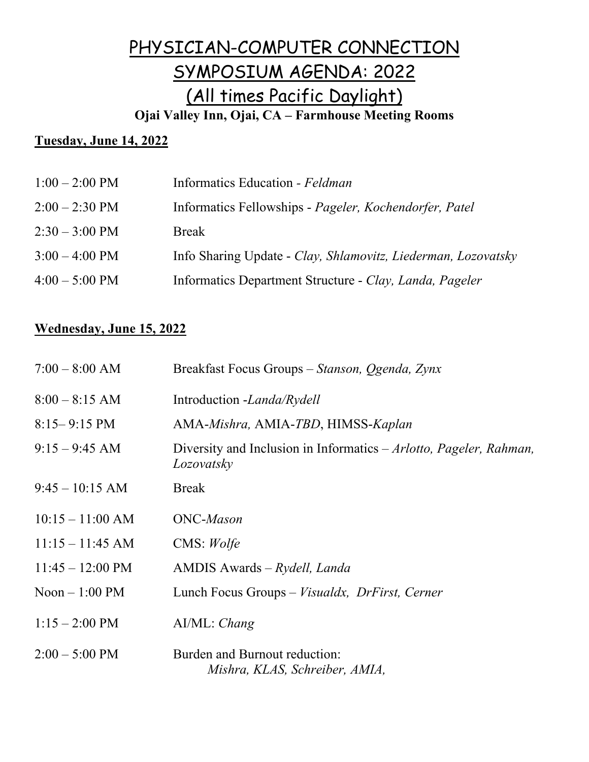# PHYSICIAN-COMPUTER CONNECTION SYMPOSIUM AGENDA: 2022 (All times Pacific Daylight) **Ojai Valley Inn, Ojai, CA – Farmhouse Meeting Rooms**

## **Tuesday, June 14, 2022**

| $1:00 - 2:00 \text{ PM}$ | Informatics Education - Feldman                               |
|--------------------------|---------------------------------------------------------------|
| $2:00 - 2:30 \text{ PM}$ | Informatics Fellowships - Pageler, Kochendorfer, Patel        |
| $2:30 - 3:00 \text{ PM}$ | <b>Break</b>                                                  |
| $3:00 - 4:00 \text{ PM}$ | Info Sharing Update - Clay, Shlamovitz, Liederman, Lozovatsky |
| $4:00 - 5:00 \text{ PM}$ | Informatics Department Structure - Clay, Landa, Pageler       |
|                          |                                                               |

#### **Wednesday, June 15, 2022**

| $7:00 - 8:00$ AM           | Breakfast Focus Groups – Stanson, Ogenda, Zynx                                     |
|----------------------------|------------------------------------------------------------------------------------|
| $8:00 - 8:15$ AM           | Introduction -Landa/Rydell                                                         |
| $8:15 - 9:15 \text{ PM}$   | AMA-Mishra, AMIA-TBD, HIMSS-Kaplan                                                 |
| $9:15 - 9:45$ AM           | Diversity and Inclusion in Informatics $-Arlotto$ , Pageler, Rahman,<br>Lozovatsky |
| $9:45 - 10:15$ AM          | <b>Break</b>                                                                       |
| $10:15 - 11:00$ AM         | <b>ONC-Mason</b>                                                                   |
| $11:15 - 11:45$ AM         | CMS: Wolfe                                                                         |
| $11:45 - 12:00 \text{ PM}$ | $AMDIS$ Awards – $Rydell$ , Landa                                                  |
| $Noon - 1:00 PM$           | Lunch Focus Groups – Visualdx, DrFirst, Cerner                                     |
| $1:15 - 2:00 \text{ PM}$   | AI/ML: Chang                                                                       |
| $2:00 - 5:00$ PM           | Burden and Burnout reduction:<br>Mishra, KLAS, Schreiber, AMIA,                    |